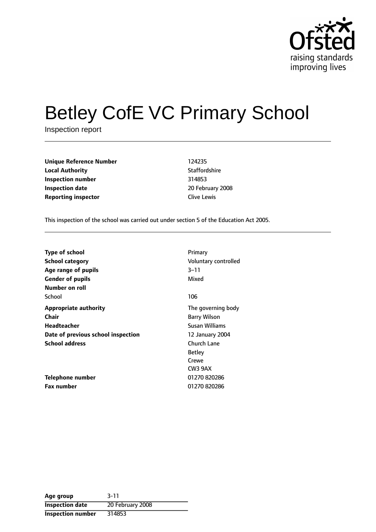

# Betley CofE VC Primary School

Inspection report

**Unique Reference Number** 124235 **Local Authority Contract Contract Contract Contract Contract Contract Contract Contract Contract Contract Contract Contract Contract Contract Contract Contract Contract Contract Contract Contract Contract Contract Contr Inspection number** 314853 **Inspection date** 20 February 2008 **Reporting inspector Clive Lewis** 

This inspection of the school was carried out under section 5 of the Education Act 2005.

| <b>Type of school</b><br><b>School category</b><br>Age range of pupils<br><b>Gender of pupils</b> | Primary<br>Voluntary controlled<br>$3 - 11$<br>Mixed |
|---------------------------------------------------------------------------------------------------|------------------------------------------------------|
| Number on roll<br>School                                                                          | 106                                                  |
| <b>Appropriate authority</b><br>Chair<br>Headteacher                                              | The governing body<br>Barry Wilson<br>Susan Williams |
| Date of previous school inspection                                                                | 12 January 2004                                      |
| <b>School address</b>                                                                             | Church Lane<br><b>Betley</b><br>Crewe<br>CW3 9AX     |
| <b>Telephone number</b>                                                                           | 01270 820286                                         |
| <b>Fax number</b>                                                                                 | 01270820286                                          |

**Age group** 3-11 **Inspection date** 20 February 2008 **Inspection number** 314853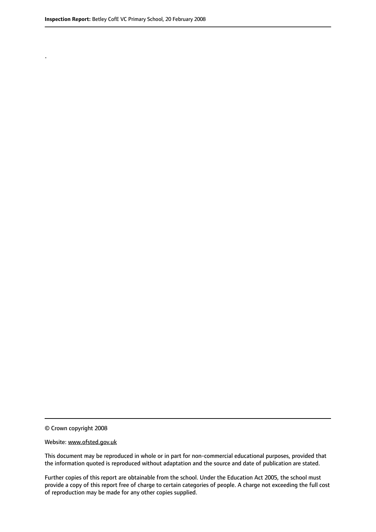.

© Crown copyright 2008

#### Website: www.ofsted.gov.uk

This document may be reproduced in whole or in part for non-commercial educational purposes, provided that the information quoted is reproduced without adaptation and the source and date of publication are stated.

Further copies of this report are obtainable from the school. Under the Education Act 2005, the school must provide a copy of this report free of charge to certain categories of people. A charge not exceeding the full cost of reproduction may be made for any other copies supplied.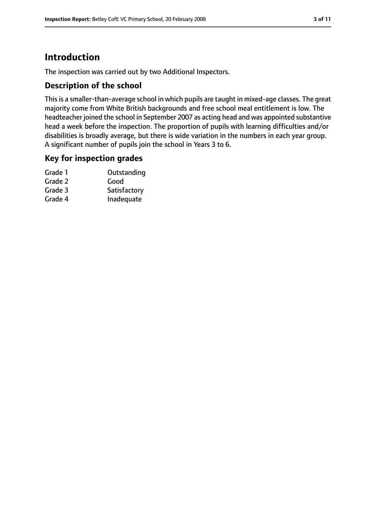# **Introduction**

The inspection was carried out by two Additional Inspectors.

### **Description of the school**

Thisis a smaller-than-average school in which pupils are taught in mixed-age classes. The great majority come from White British backgrounds and free school meal entitlement is low. The headteacher joined the school in September 2007 as acting head and was appointed substantive head a week before the inspection. The proportion of pupils with learning difficulties and/or disabilities is broadly average, but there is wide variation in the numbers in each year group. A significant number of pupils join the school in Years 3 to 6.

#### **Key for inspection grades**

| Grade 1 | Outstanding  |
|---------|--------------|
| Grade 2 | Good         |
| Grade 3 | Satisfactory |
| Grade 4 | Inadequate   |
|         |              |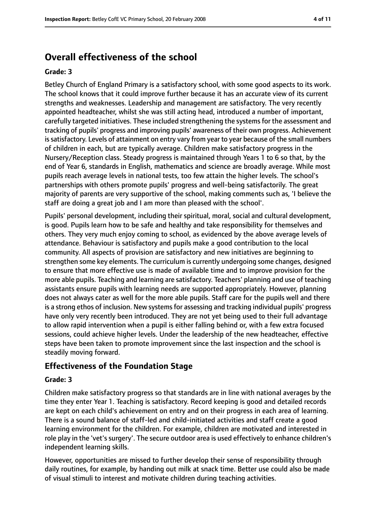# **Overall effectiveness of the school**

#### **Grade: 3**

Betley Church of England Primary is a satisfactory school, with some good aspects to its work. The school knows that it could improve further because it has an accurate view of its current strengths and weaknesses. Leadership and management are satisfactory. The very recently appointed headteacher, whilst she was still acting head, introduced a number of important, carefully targeted initiatives. These included strengthening the systemsfor the assessment and tracking of pupils' progress and improving pupils' awareness of their own progress. Achievement is satisfactory. Levels of attainment on entry vary from year to year because of the small numbers of children in each, but are typically average. Children make satisfactory progress in the Nursery/Reception class. Steady progress is maintained through Years 1 to 6 so that, by the end of Year 6, standards in English, mathematics and science are broadly average. While most pupils reach average levels in national tests, too few attain the higher levels. The school's partnerships with others promote pupils' progress and well-being satisfactorily. The great majority of parents are very supportive of the school, making comments such as, 'I believe the staff are doing a great job and I am more than pleased with the school'.

Pupils' personal development, including their spiritual, moral, social and cultural development, is good. Pupils learn how to be safe and healthy and take responsibility for themselves and others. They very much enjoy coming to school, as evidenced by the above average levels of attendance. Behaviour is satisfactory and pupils make a good contribution to the local community. All aspects of provision are satisfactory and new initiatives are beginning to strengthen some key elements. The curriculum is currently undergoing some changes, designed to ensure that more effective use is made of available time and to improve provision for the more able pupils. Teaching and learning are satisfactory. Teachers' planning and use of teaching assistants ensure pupils with learning needs are supported appropriately. However, planning does not always cater as well for the more able pupils. Staff care for the pupils well and there is a strong ethos of inclusion. New systems for assessing and tracking individual pupils' progress have only very recently been introduced. They are not yet being used to their full advantage to allow rapid intervention when a pupil is either falling behind or, with a few extra focused sessions, could achieve higher levels. Under the leadership of the new headteacher, effective steps have been taken to promote improvement since the last inspection and the school is steadily moving forward.

## **Effectiveness of the Foundation Stage**

#### **Grade: 3**

Children make satisfactory progress so that standards are in line with national averages by the time they enter Year 1. Teaching is satisfactory. Record keeping is good and detailed records are kept on each child's achievement on entry and on their progress in each area of learning. There is a sound balance of staff-led and child-initiated activities and staff create a good learning environment for the children. For example, children are motivated and interested in role play in the 'vet's surgery'. The secure outdoor area is used effectively to enhance children's independent learning skills.

However, opportunities are missed to further develop their sense of responsibility through daily routines, for example, by handing out milk at snack time. Better use could also be made of visual stimuli to interest and motivate children during teaching activities.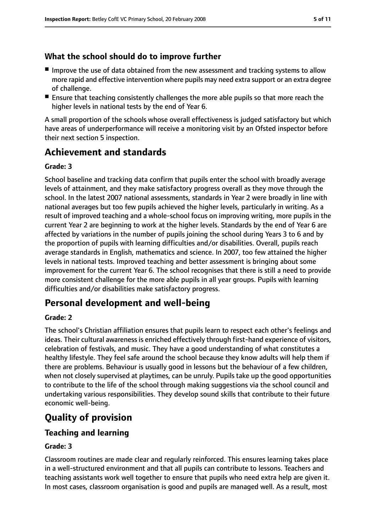## **What the school should do to improve further**

- Improve the use of data obtained from the new assessment and tracking systems to allow more rapid and effective intervention where pupils may need extra support or an extra degree of challenge.
- Ensure that teaching consistently challenges the more able pupils so that more reach the higher levels in national tests by the end of Year 6.

A small proportion of the schools whose overall effectiveness is judged satisfactory but which have areas of underperformance will receive a monitoring visit by an Ofsted inspector before their next section 5 inspection.

# **Achievement and standards**

#### **Grade: 3**

School baseline and tracking data confirm that pupils enter the school with broadly average levels of attainment, and they make satisfactory progress overall as they move through the school. In the latest 2007 national assessments, standards in Year 2 were broadly in line with national averages but too few pupils achieved the higher levels, particularly in writing. As a result of improved teaching and a whole-school focus on improving writing, more pupils in the current Year 2 are beginning to work at the higher levels. Standards by the end of Year 6 are affected by variations in the number of pupils joining the school during Years 3 to 6 and by the proportion of pupils with learning difficulties and/or disabilities. Overall, pupils reach average standards in English, mathematics and science. In 2007, too few attained the higher levels in national tests. Improved teaching and better assessment is bringing about some improvement for the current Year 6. The school recognises that there is still a need to provide more consistent challenge for the more able pupils in all year groups. Pupils with learning difficulties and/or disabilities make satisfactory progress.

# **Personal development and well-being**

#### **Grade: 2**

The school's Christian affiliation ensures that pupils learn to respect each other's feelings and ideas. Their cultural awareness is enriched effectively through first-hand experience of visitors, celebration of festivals, and music. They have a good understanding of what constitutes a healthy lifestyle. They feel safe around the school because they know adults will help them if there are problems. Behaviour is usually good in lessons but the behaviour of a few children, when not closely supervised at playtimes, can be unruly. Pupils take up the good opportunities to contribute to the life of the school through making suggestions via the school council and undertaking various responsibilities. They develop sound skills that contribute to their future economic well-being.

# **Quality of provision**

### **Teaching and learning**

#### **Grade: 3**

Classroom routines are made clear and regularly reinforced. This ensures learning takes place in a well-structured environment and that all pupils can contribute to lessons. Teachers and teaching assistants work well together to ensure that pupils who need extra help are given it. In most cases, classroom organisation is good and pupils are managed well. As a result, most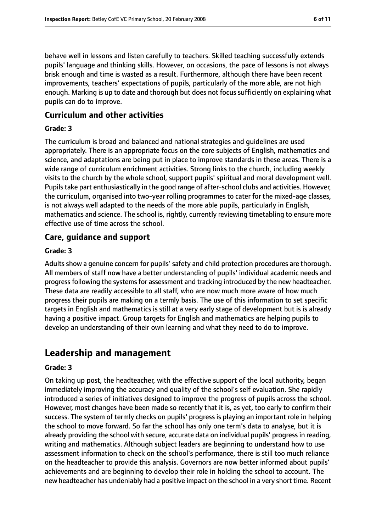behave well in lessons and listen carefully to teachers. Skilled teaching successfully extends pupils' language and thinking skills. However, on occasions, the pace of lessons is not always brisk enough and time is wasted as a result. Furthermore, although there have been recent improvements, teachers' expectations of pupils, particularly of the more able, are not high enough. Marking is up to date and thorough but does not focus sufficiently on explaining what pupils can do to improve.

### **Curriculum and other activities**

#### **Grade: 3**

The curriculum is broad and balanced and national strategies and guidelines are used appropriately. There is an appropriate focus on the core subjects of English, mathematics and science, and adaptations are being put in place to improve standards in these areas. There is a wide range of curriculum enrichment activities. Strong links to the church, including weekly visits to the church by the whole school, support pupils' spiritual and moral development well. Pupils take part enthusiastically in the good range of after-school clubs and activities. However, the curriculum, organised into two-year rolling programmes to cater for the mixed-age classes, is not always well adapted to the needs of the more able pupils, particularly in English, mathematics and science. The school is, rightly, currently reviewing timetabling to ensure more effective use of time across the school.

#### **Care, guidance and support**

#### **Grade: 3**

Adults show a genuine concern for pupils' safety and child protection procedures are thorough. All members of staff now have a better understanding of pupils' individual academic needs and progressfollowing the systemsfor assessment and tracking introduced by the new headteacher. These data are readily accessible to all staff, who are now much more aware of how much progress their pupils are making on a termly basis. The use of this information to set specific targets in English and mathematics is still at a very early stage of development but is is already having a positive impact. Group targets for English and mathematics are helping pupils to develop an understanding of their own learning and what they need to do to improve.

# **Leadership and management**

#### **Grade: 3**

On taking up post, the headteacher, with the effective support of the local authority, began immediately improving the accuracy and quality of the school's self evaluation. She rapidly introduced a series of initiatives designed to improve the progress of pupils across the school. However, most changes have been made so recently that it is, as yet, too early to confirm their success. The system of termly checks on pupils' progress is playing an important role in helping the school to move forward. So far the school has only one term's data to analyse, but it is already providing the school with secure, accurate data on individual pupils' progress in reading, writing and mathematics. Although subject leaders are beginning to understand how to use assessment information to check on the school's performance, there is still too much reliance on the headteacher to provide this analysis. Governors are now better informed about pupils' achievements and are beginning to develop their role in holding the school to account. The new headteacher has undeniably had a positive impact on the school in a very short time. Recent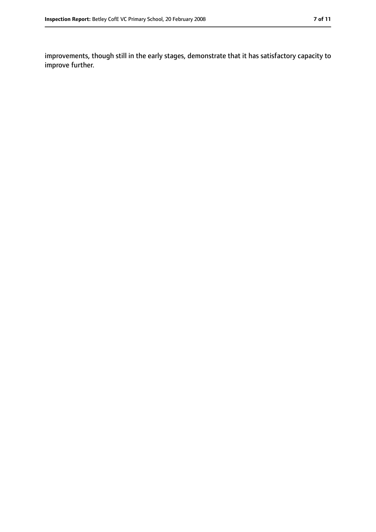improvements, though still in the early stages, demonstrate that it has satisfactory capacity to improve further.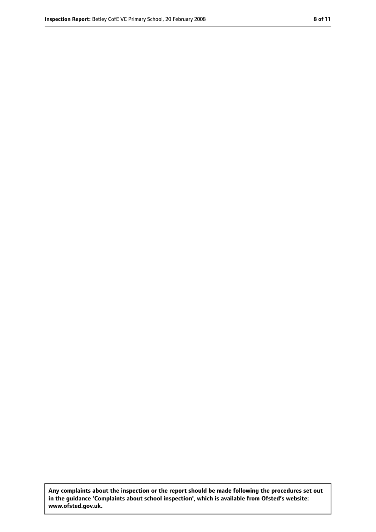**Any complaints about the inspection or the report should be made following the procedures set out in the guidance 'Complaints about school inspection', which is available from Ofsted's website: www.ofsted.gov.uk.**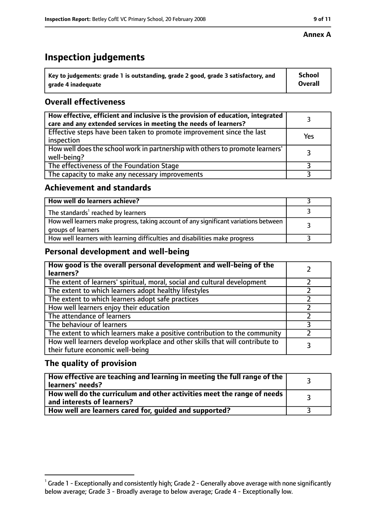# **Inspection judgements**

| $^{\backprime}$ Key to judgements: grade 1 is outstanding, grade 2 good, grade 3 satisfactory, and | <b>School</b>  |
|----------------------------------------------------------------------------------------------------|----------------|
| arade 4 inadequate                                                                                 | <b>Overall</b> |

# **Overall effectiveness**

| How effective, efficient and inclusive is the provision of education, integrated<br>care and any extended services in meeting the needs of learners? |     |
|------------------------------------------------------------------------------------------------------------------------------------------------------|-----|
| Effective steps have been taken to promote improvement since the last<br>inspection                                                                  | Yes |
| How well does the school work in partnership with others to promote learners'<br>well-being?                                                         |     |
| The effectiveness of the Foundation Stage                                                                                                            |     |
| The capacity to make any necessary improvements                                                                                                      |     |

## **Achievement and standards**

| How well do learners achieve?                                                                               |  |
|-------------------------------------------------------------------------------------------------------------|--|
| The standards <sup>1</sup> reached by learners                                                              |  |
| How well learners make progress, taking account of any significant variations between<br>groups of learners |  |
| How well learners with learning difficulties and disabilities make progress                                 |  |

## **Personal development and well-being**

| How good is the overall personal development and well-being of the<br>learners?                                  |  |
|------------------------------------------------------------------------------------------------------------------|--|
| The extent of learners' spiritual, moral, social and cultural development                                        |  |
| The extent to which learners adopt healthy lifestyles                                                            |  |
| The extent to which learners adopt safe practices                                                                |  |
| How well learners enjoy their education                                                                          |  |
| The attendance of learners                                                                                       |  |
| The behaviour of learners                                                                                        |  |
| The extent to which learners make a positive contribution to the community                                       |  |
| How well learners develop workplace and other skills that will contribute to<br>their future economic well-being |  |

## **The quality of provision**

| How effective are teaching and learning in meeting the full range of the<br>learners' needs?          |  |
|-------------------------------------------------------------------------------------------------------|--|
| How well do the curriculum and other activities meet the range of needs<br>and interests of learners? |  |
| How well are learners cared for, guided and supported?                                                |  |

 $^1$  Grade 1 - Exceptionally and consistently high; Grade 2 - Generally above average with none significantly below average; Grade 3 - Broadly average to below average; Grade 4 - Exceptionally low.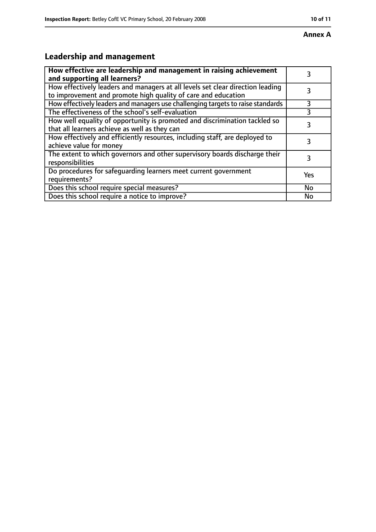# **Leadership and management**

| How effective are leadership and management in raising achievement<br>and supporting all learners?                                              |     |
|-------------------------------------------------------------------------------------------------------------------------------------------------|-----|
| How effectively leaders and managers at all levels set clear direction leading<br>to improvement and promote high quality of care and education |     |
| How effectively leaders and managers use challenging targets to raise standards                                                                 | 3   |
| The effectiveness of the school's self-evaluation                                                                                               | 3   |
| How well equality of opportunity is promoted and discrimination tackled so<br>that all learners achieve as well as they can                     | 3   |
| How effectively and efficiently resources, including staff, are deployed to<br>achieve value for money                                          | 3   |
| The extent to which governors and other supervisory boards discharge their<br>responsibilities                                                  | 3   |
| Do procedures for safequarding learners meet current government<br>requirements?                                                                | Yes |
| Does this school require special measures?                                                                                                      | No  |
| Does this school require a notice to improve?                                                                                                   | No  |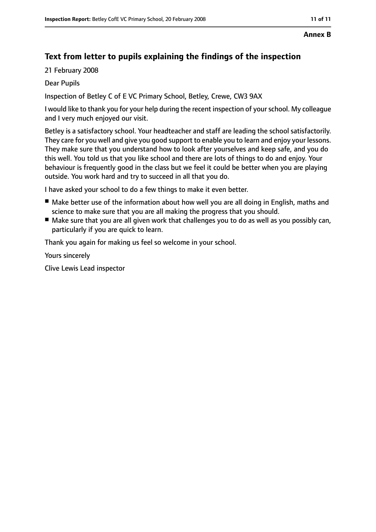#### **Annex B**

# **Text from letter to pupils explaining the findings of the inspection**

21 February 2008

Dear Pupils

Inspection of Betley C of E VC Primary School, Betley, Crewe, CW3 9AX

I would like to thank you for your help during the recent inspection of yourschool. My colleague and I very much enjoyed our visit.

Betley is a satisfactory school. Your headteacher and staff are leading the school satisfactorily. They care for you well and give you good support to enable you to learn and enjoy your lessons. They make sure that you understand how to look after yourselves and keep safe, and you do this well. You told us that you like school and there are lots of things to do and enjoy. Your behaviour is frequently good in the class but we feel it could be better when you are playing outside. You work hard and try to succeed in all that you do.

I have asked your school to do a few things to make it even better.

- Make better use of the information about how well you are all doing in English, maths and science to make sure that you are all making the progress that you should.
- Make sure that you are all given work that challenges you to do as well as you possibly can, particularly if you are quick to learn.

Thank you again for making us feel so welcome in your school.

Yours sincerely

Clive Lewis Lead inspector